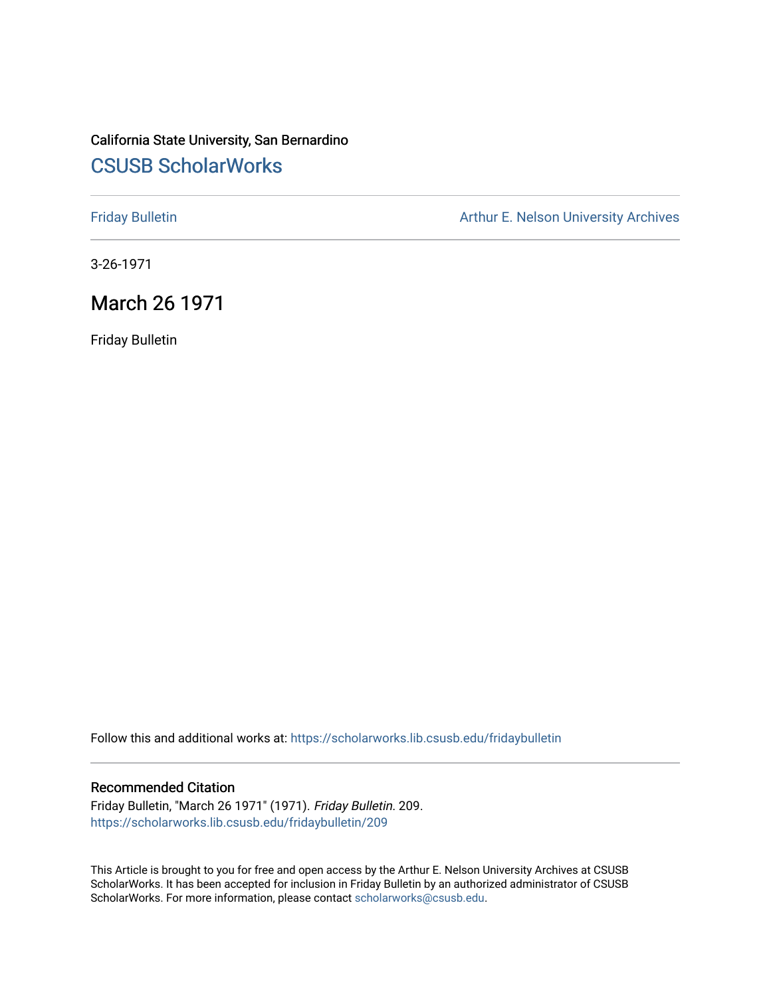## California State University, San Bernardino [CSUSB ScholarWorks](https://scholarworks.lib.csusb.edu/)

[Friday Bulletin](https://scholarworks.lib.csusb.edu/fridaybulletin) **Arthur E. Nelson University Archives** Arthur E. Nelson University Archives

3-26-1971

### March 26 1971

Friday Bulletin

Follow this and additional works at: [https://scholarworks.lib.csusb.edu/fridaybulletin](https://scholarworks.lib.csusb.edu/fridaybulletin?utm_source=scholarworks.lib.csusb.edu%2Ffridaybulletin%2F209&utm_medium=PDF&utm_campaign=PDFCoverPages)

#### Recommended Citation

Friday Bulletin, "March 26 1971" (1971). Friday Bulletin. 209. [https://scholarworks.lib.csusb.edu/fridaybulletin/209](https://scholarworks.lib.csusb.edu/fridaybulletin/209?utm_source=scholarworks.lib.csusb.edu%2Ffridaybulletin%2F209&utm_medium=PDF&utm_campaign=PDFCoverPages)

This Article is brought to you for free and open access by the Arthur E. Nelson University Archives at CSUSB ScholarWorks. It has been accepted for inclusion in Friday Bulletin by an authorized administrator of CSUSB ScholarWorks. For more information, please contact [scholarworks@csusb.edu.](mailto:scholarworks@csusb.edu)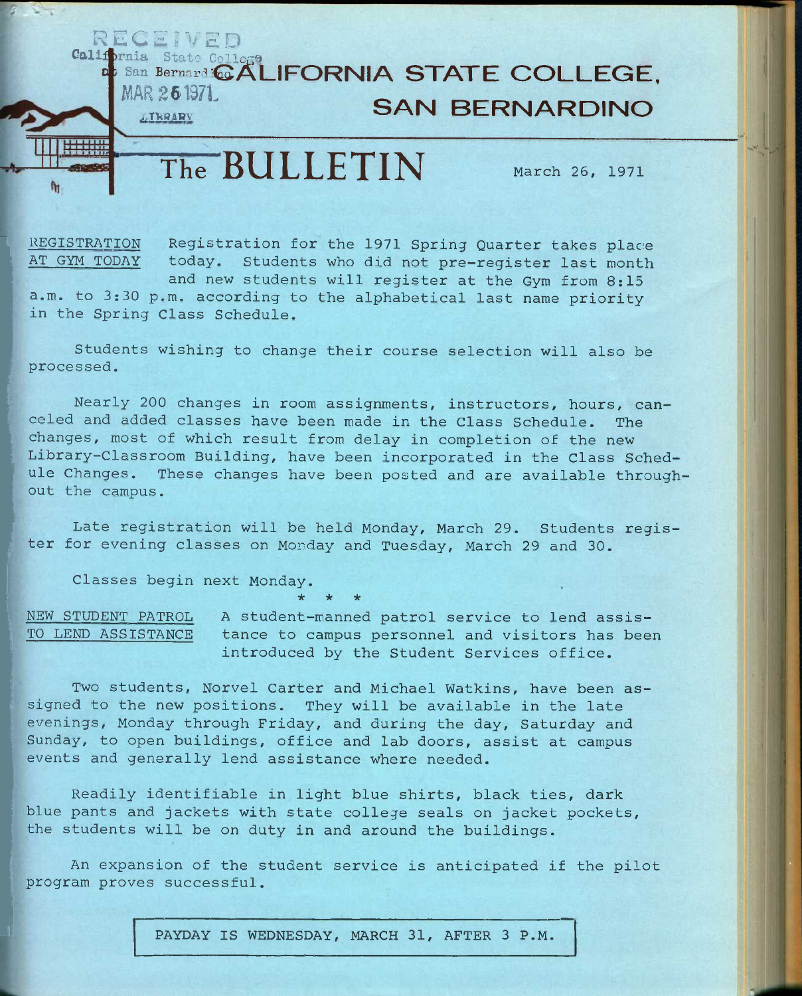## **California** State Collogo **at San Bernard <b>COLLEGE. MAR 261971 SAN BERNARDINO**

# The **BULLETIN** March 26, 1971

**R E C £ J V E D** 

REGISTRATION Registration for the 1971 Spring Quarter takes place<br>AT GYM TODAY today. Students who did not pre-register last month today. Students who did not pre-register last month and new students will register at the Gym from 8:15

a.m. to 3:30 p.m. according to the alphabetical last name priority in the Spring Class Schedule.

Students wishing to change their course selection will also be processed.

Nearly 200 changes in room assignments, instructors, hours, canceled and added classes have been made in the Class Schedule. The changes, most of which result from delay in completion of the new Library-Classroom Building, have been incorporated in the Class Schedule Changes. These changes have been posted and are available throughout the campus.

Late registration will be held Monday, March 29. Students register for evening classes on Monday and Tuesday, March 29 and 30.

Classes begin next Monday.

NEW STUDENT PATROL A student-manned patrol service to lend assis-TO LEND ASSISTANCE tance to campus personnel and visitors has been introduced by the Student Services office.

Two students, Norvel Carter and Michael Watkins, have been assigned to the new positions. They will be available in the late evenings, Monday through Friday, and during the day, Saturday and Sunday, to open buildings, office and lab doors, assist at campus events and generally lend assistance where needed.

**\* \* \*** 

Readily identifiable in light blue shirts, black ties, dark blue pants and jackets with state college seals on jacket pockets, the students will be on duty in and around the buildings.

An expansion of the student service is anticipated if the pilot program proves successful.

PAYDAY IS WEDNESDAY, MARCH 31, AFTER 3 P.M.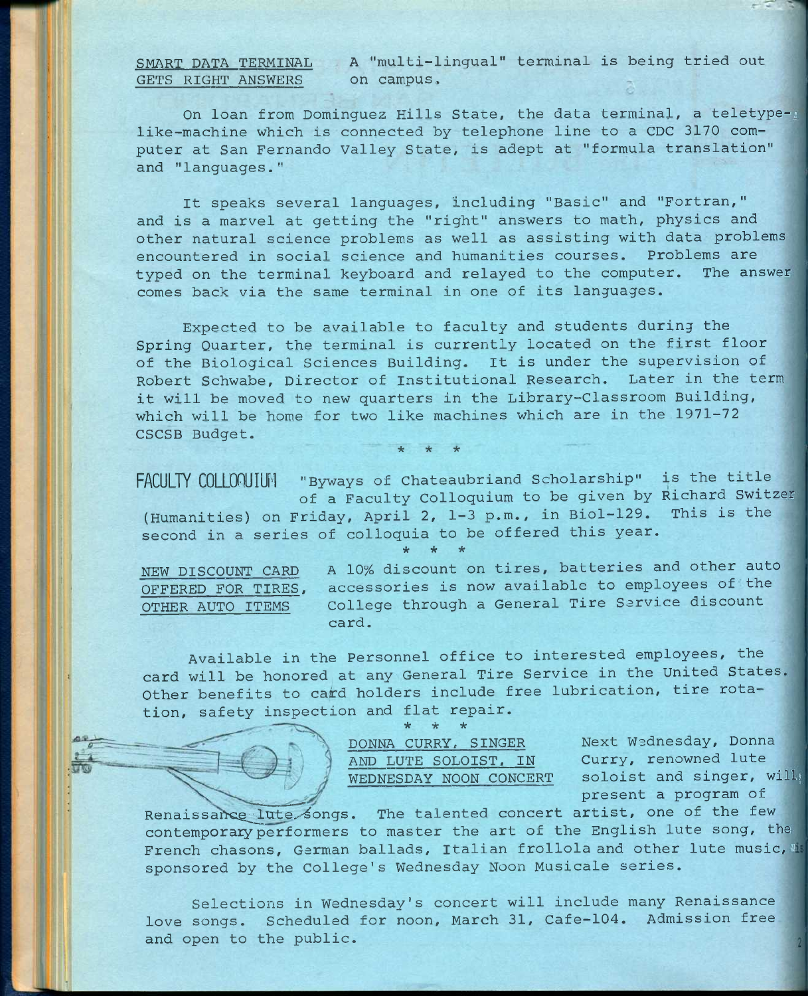**SMART DATA TERMINAL GETS RIGHT ANSWERS** 

A "multi-lingual" terminal is being tried out on campus.

On loan from Dominguez Hills State, the data terminal, a teletype-; like-machine which is connected by telephone line to a CDC 3170 computer at San Fernando Valley State, is adept at "formula translation" and "languages."

It speaks several languages, including "Basic" and "Fortran," and is a marvel at getting the "right" answers to math, physics and other natural science problems as well as assisting with data problems encountered in social science and humanities courses. Problems are typed on the terminal keyboard and relayed to the computer. The answer comes back via the same terminal in one of its languages.

Expected to be available to faculty and students during the Spring Quarter, the terminal is currently located on the first floor of the Biological Sciences Building. It is under the supervision of Robert Schwabe, Director of Institutional Research. Later in the term it will be moved to new quarters in the Library-Classroom Building, which will be home for two like machines which are in the 1971-72 CSCSB Budget.

*\* \* \** 

**FACULTY COLLOnUIUN "Byways of Chateaubriand Scholarship" is the title**  of a Faculty Colloquium to be given by Richard Switzer **(Humanities) on Friday, April** 2, 1-3 **p.m., in Biol**-129. **This is the**  second in a series of colloquia to be offered this year. **\* \* \*** 

NEW DISCOUNT CARD A 10% discount on tires, batteries and other auto OFFERED FOR TIRES, accessories is now available to employees of the OTHER AUTO ITEMS College through a General Tire Service discount card.

Available in the Personnel office to interested employees, the card will be honored at any General Tire Service in the United States. Other benefits to card holders include free lubrication, tire rotation, safety inspection and flat repair.<br>\* \* \* **\* \* \*** 

> **DONNA CURRY, SINGER Next Wednesday, Donna**  AND LUTE SOLOIST, IN

**WEDNESDAY NOON CONCERT soloist and singer, will;**  present a program of

Renaissance lute songs. The talented concert artist, one of the few contemporary performers to master the art of the English lute song, the French chasons, German ballads, Italian frollola and other lute music, is sponsored by the College's Wednesday **Noon** Musicale series.

Selections in Wednesday's concert will include many Renaissance love songs. Scheduled for noon, March 31, Cafe-104. Admission free and open to the public.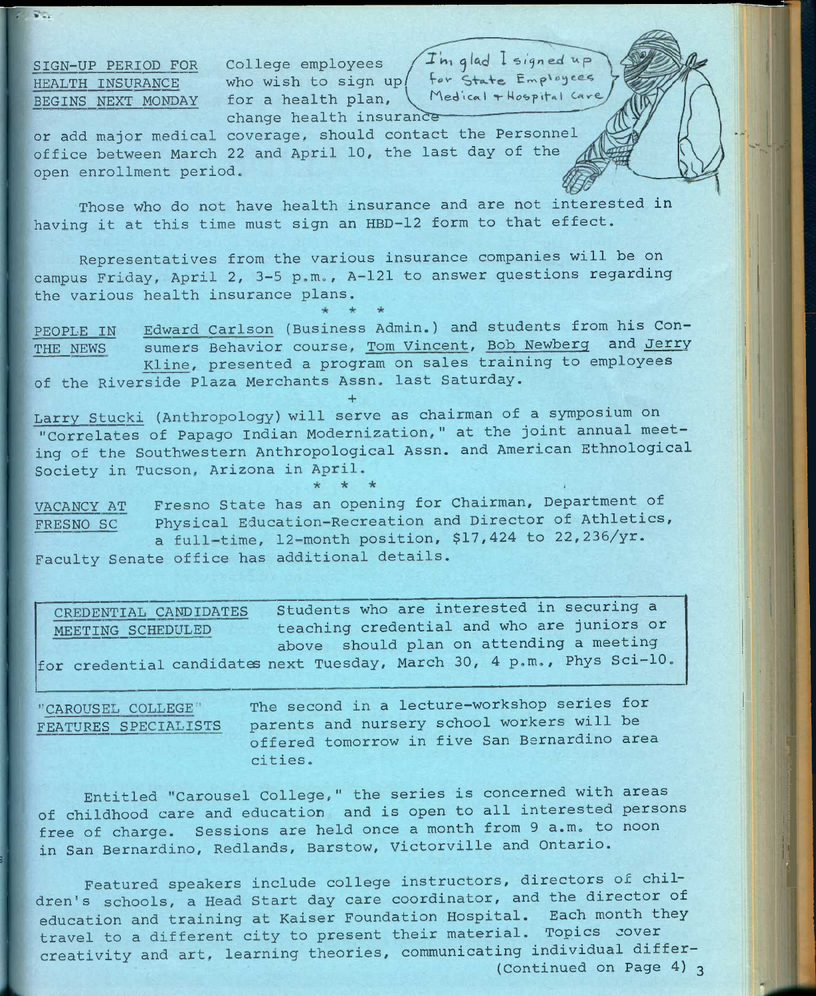HEALTH INSURANCE BEGINS NEXT MONDAY

 $2.74$ 

SIGN-UP PERIOD FOR College employees College employees /  $+$  m<sub>1</sub> glad  $+$  signe who wish to sign up/ for State Emp<sup>1</sup> for a health plan, **for the dical + Mospit** change health insurance

**or add major medical coverage, should contact the Personnel office between March** 22 **and April** 10, **the last day of the open enrollment period.** 

**Those who do not have health insurance and are not interested in having it at this time must sign an** HBD-12 **form to that effect.** 

**Representatives from the various insurance companies will be on campus Friday, April** 2, 3-5 **p.m., A**-121 **to answer questions regarding the various health insurance plans.** 

PEOPLE IN THE NEWS Edward Carlson (Business Admin.) and students from his Consumers Behavior course, Tom Vincent, Bob Newberg and Jerry Kline, presented a program on sales training to employees of the Riverside Plaza Merchants Assn. last Saturday.

**+**  Larry Stucki (Anthropology) will serve as chairman of a symposium on "Correlates of Papago Indian Modernization," at the joint annual meeting of the Southwestern Anthropological Assn. and American Ethnological Society in Tucson, Arizona in April.

VACANCY AT Fresno State has an opening for Chairman, Department of FRESNO SC Physical Education-Recreation and Director of Athletics, a full-time, 12-month position, \$17,424 to 22,235/yr. Faculty Senate office has additional details.

Students who are interested in securing a teaching credential and who are juniors or above should plan on attending a meeting for credential candidates next Tuesday, March 30, 4 p.m., Phys Sci-10, CREDENTIAL CANDIDATES MEETING SCHEDULED

"CAROUSEL COLLEGE" FEATURES SPECIALISTS

**The second in a lecture-workshop series for parents and nursery school workers will be offered tomorrow in five San Bernardino area cities.** 

*•k "k °k* ;

Entitled "Carousel College," the series is concerned with areas of childhood care and education and is open to all interested persons free of charge. Sessions are held once a month from 9 a.m. to noon in San Bernardino, Redlands, Barstow, Victorville and Ontario.

Featured speakers include college instructors, directors of chil**dren's schools, a Head Start day care coordinator, and the director of education and training at Kaiser Foundation Hospital. Each month they travel to a different city to present their material. Topics cover creativity and art, learning theories, communicating individual differ-** (Continued on Page 4) 3